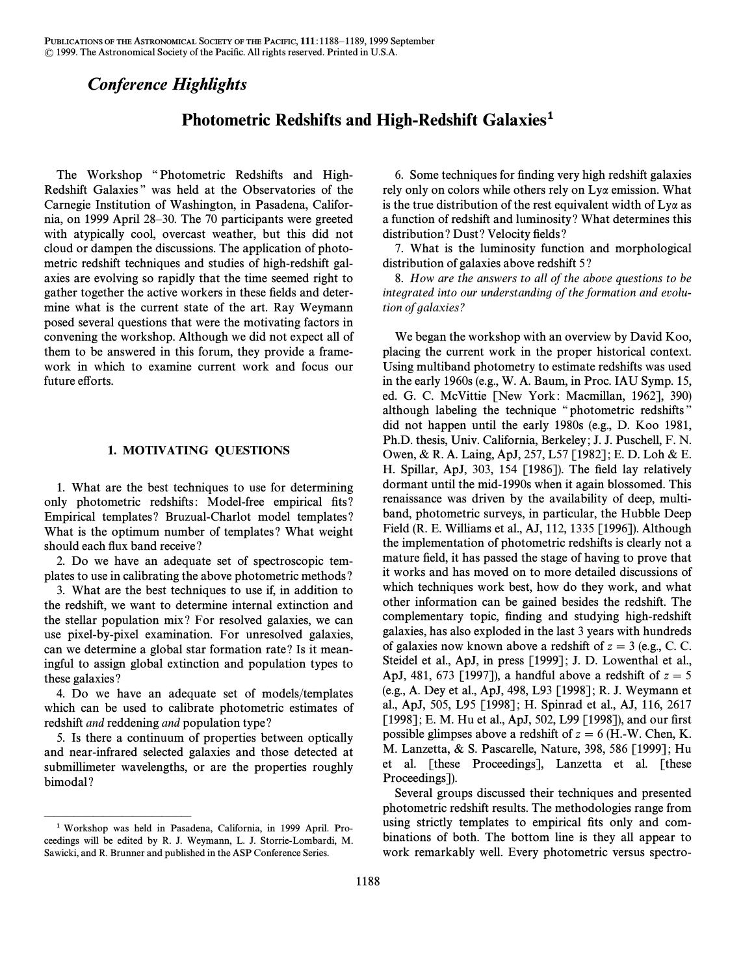## *Conference Highlights*

## Photometric Redshifts and High-Redshift Galaxies**1**

The Workshop "Photometric Redshifts and High-Redshift Galaxies" was held at the Observatories of the Carnegie Institution of Washington, in Pasadena, California, on 1999 April 28–30. The 70 participants were greeted with atypically cool, overcast weather, but this did not cloud or dampen the discussions. The application of photometric redshift techniques and studies of high-redshift galaxies are evolving so rapidly that the time seemed right to gather together the active workers in these fields and determine what is the current state of the art. Ray Weymann posed several questions that were the motivating factors in convening the workshop. Although we did not expect all of them to be answered in this forum, they provide a framework in which to examine current work and focus our future efforts.

## 1. MOTIVATING QUESTIONS

1. What are the best techniques to use for determining only photometric redshifts: Model-free empirical fits? Empirical templates ? Bruzual-Charlot model templates ? What is the optimum number of templates ? What weight should each flux band receive?

2. Do we have an adequate set of spectroscopic templates to use in calibrating the above photometric methods ?

3. What are the best techniques to use if, in addition to the redshift, we want to determine internal extinction and the stellar population mix ? For resolved galaxies, we can use pixel-by-pixel examination. For unresolved galaxies, can we determine a global star formation rate ? Is it meaningful to assign global extinction and population types to these galaxies ?

4. Do we have an adequate set of models/templates which can be used to calibrate photometric estimates of redshift and reddening and population type ?

5. Is there a continuum of properties between optically and near-infrared selected galaxies and those detected at submillimeter wavelengths, or are the properties roughly bimodal?

ÈÈÈÈÈÈÈÈÈÈÈÈÈÈÈ

6. Some techniques for finding very high redshift galaxies rely only on colors while others rely on Lya emission. What is the true distribution of the rest equivalent width of  $Ly\alpha$  as a function of redshift and luminosity ? What determines this distribution? Dust? Velocity fields?

7. What is the luminosity function and morphological distribution of galaxies above redshift 5?

8. How are the answers to all of the above questions to be integrated into our understanding of the formation and evolution of galaxies ?

We began the workshop with an overview by David Koo, placing the current work in the proper historical context. Using multiband photometry to estimate redshifts was used in the early 1960s (e.g., W. A. Baum, in Proc. IAU Symp. 15, ed. G. C. McVittie [New York: Macmillan, 1962], 390) although labeling the technique "photometric redshifts" did not happen until the early 1980s (e.g., D. Koo 1981, Ph.D. thesis, Univ. California, Berkeley ; J. J. Puschell, F. N. Owen, & R. A. Laing, ApJ, 257, L57 [1982] ; E. D. Loh & E. H. Spillar, ApJ, 303, 154  $[1986]$ ). The field lay relatively dormant until the mid-1990s when it again blossomed. This renaissance was driven by the availability of deep, multiband, photometric surveys, in particular, the Hubble Deep Field (R. E. Williams et al., AJ, 112, 1335 [1996]). Although the implementation of photometric redshifts is clearly not a mature field, it has passed the stage of having to prove that it works and has moved on to more detailed discussions of which techniques work best, how do they work, and what other information can be gained besides the redshift. The complementary topic, finding and studying high-redshift galaxies, has also exploded in the last 3 years with hundreds of galaxies now known above a redshift of  $z = 3$  (e.g., C. C. Steidel et al., ApJ, in press [1999]; J. D. Lowenthal et al., ApJ, 481, 673 [1997]), a handful above a redshift of  $z = 5$ (e.g., A. Dey et al., ApJ, 498, L93 [1998] ; R. J. Weymann et al., ApJ, 505, L95 [1998] ; H. Spinrad et al., AJ, 116, 2617 [1998]; E. M. Hu et al., ApJ, 502, L99 [1998]), and our first possible glimpses above a redshift of  $z = 6$  (H.-W. Chen, K. M. Lanzetta, & S. Pascarelle, Nature, 398, 586 [1999] ; Hu et al. [these Proceedings], Lanzetta et al. [these Proceedings]).

Several groups discussed their techniques and presented photometric redshift results. The methodologies range from using strictly templates to empirical fits only and combinations of both. The bottom line is they all appear to work remarkably well. Every photometric versus spectro-

<sup>1</sup> Workshop was held in Pasadena, California, in 1999 April. Proceedings will be edited by R. J. Weymann, L. J. Storrie-Lombardi, M. Sawicki, and R. Brunner and published in the ASP Conference Series.